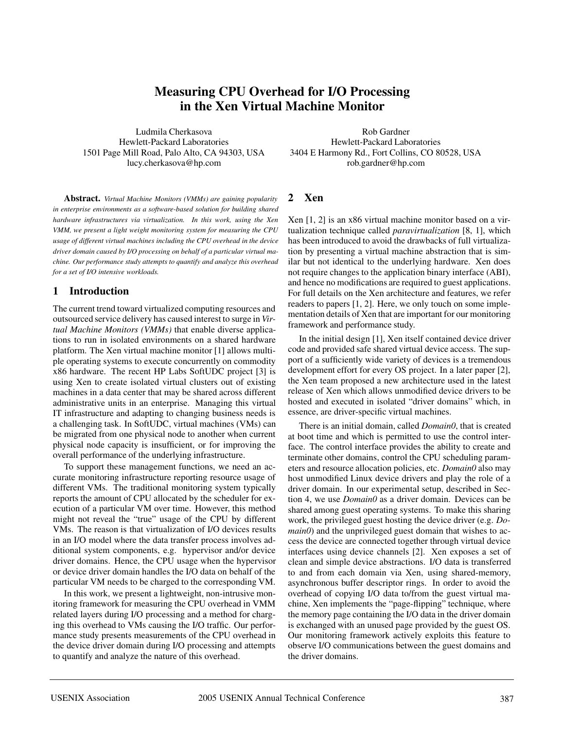# **Measuring CPU Overhead for I/O Processing in the Xen Virtual Machine Monitor**

Ludmila Cherkasova Hewlett-Packard Laboratories 1501 Page Mill Road, Palo Alto, CA 94303, USA lucy.cherkasova@hp.com

**Abstract.** *Virtual Machine Monitors (VMMs) are gaining popularity in enterprise environments as a software-based solution for building shared hardware infrastructures via virtualization. In this work, using the Xen VMM, we present a light weight monitoring system for measuring the CPU usage of different virtual machines including the CPU overhead in the device driver domain caused by I/O processing on behalf of a particular virtual machine. Our performance study attempts to quantify and analyze this overhead for a set of I/O intensive workloads.*

## **1 Introduction**

The current trend toward virtualized computing resources and outsourced service delivery has caused interest to surge in *Virtual Machine Monitors (VMMs)* that enable diverse applications to run in isolated environments on a shared hardware platform. The Xen virtual machine monitor [1] allows multiple operating systems to execute concurrently on commodity x86 hardware. The recent HP Labs SoftUDC project [3] is using Xen to create isolated virtual clusters out of existing machines in a data center that may be shared across different administrative units in an enterprise. Managing this virtual IT infrastructure and adapting to changing business needs is a challenging task. In SoftUDC, virtual machines (VMs) can be migrated from one physical node to another when current physical node capacity is insufficient, or for improving the overall performance of the underlying infrastructure.

To support these management functions, we need an accurate monitoring infrastructure reporting resource usage of different VMs. The traditional monitoring system typically reports the amount of CPU allocated by the scheduler for execution of a particular VM over time. However, this method might not reveal the "true" usage of the CPU by different VMs. The reason is that virtualization of I/O devices results in an I/O model where the data transfer process involves additional system components, e.g. hypervisor and/or device driver domains. Hence, the CPU usage when the hypervisor or device driver domain handles the I/O data on behalf of the particular VM needs to be charged to the corresponding VM.

In this work, we present a lightweight, non-intrusive monitoring framework for measuring the CPU overhead in VMM related layers during I/O processing and a method for charging this overhead to VMs causing the I/O traffic. Our performance study presents measurements of the CPU overhead in the device driver domain during I/O processing and attempts to quantify and analyze the nature of this overhead.

Rob Gardner Hewlett-Packard Laboratories 3404 E Harmony Rd., Fort Collins, CO 80528, USA rob.gardner@hp.com

## **2 Xen**

Xen [1, 2] is an x86 virtual machine monitor based on a virtualization technique called *paravirtualization* [8, 1], which has been introduced to avoid the drawbacks of full virtualization by presenting a virtual machine abstraction that is similar but not identical to the underlying hardware. Xen does not require changes to the application binary interface (ABI), and hence no modifications are required to guest applications. For full details on the Xen architecture and features, we refer readers to papers [1, 2]. Here, we only touch on some implementation details of Xen that are important for our monitoring framework and performance study.

In the initial design [1], Xen itself contained device driver code and provided safe shared virtual device access. The support of a sufficiently wide variety of devices is a tremendous development effort for every OS project. In a later paper [2], the Xen team proposed a new architecture used in the latest release of Xen which allows unmodified device drivers to be hosted and executed in isolated "driver domains" which, in essence, are driver-specific virtual machines.

There is an initial domain, called *Domain0*, that is created at boot time and which is permitted to use the control interface. The control interface provides the ability to create and terminate other domains, control the CPU scheduling parameters and resource allocation policies, etc. *Domain0* also may host unmodified Linux device drivers and play the role of a driver domain. In our experimental setup, described in Section 4, we use *Domain0* as a driver domain. Devices can be shared among guest operating systems. To make this sharing work, the privileged guest hosting the device driver (e.g. *Domain0*) and the unprivileged guest domain that wishes to access the device are connected together through virtual device interfaces using device channels [2]. Xen exposes a set of clean and simple device abstractions. I/O data is transferred to and from each domain via Xen, using shared-memory, asynchronous buffer descriptor rings. In order to avoid the overhead of copying I/O data to/from the guest virtual machine, Xen implements the "page-flipping" technique, where the memory page containing the I/O data in the driver domain is exchanged with an unused page provided by the guest OS. Our monitoring framework actively exploits this feature to observe I/O communications between the guest domains and the driver domains.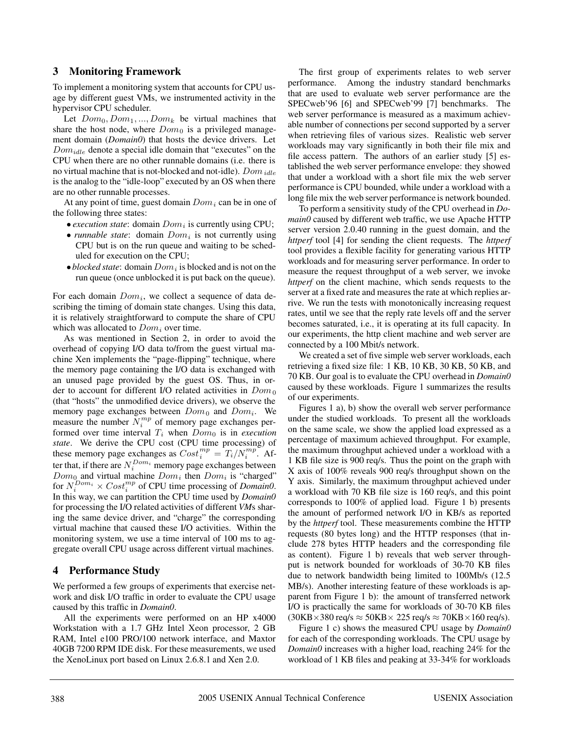#### **3 Monitoring Framework**

To implement a monitoring system that accounts for CPU usage by different guest VMs, we instrumented activity in the hypervisor CPU scheduler.

Let  $Dom_0, Dom_1, ..., Dom_k$  be virtual machines that share the host node, where  $Dom_0$  is a privileged management domain (*Domain0*) that hosts the device drivers. Let  $Dom_{idle}$  denote a special idle domain that "executes" on the CPU when there are no other runnable domains (i.e. there is no virtual machine that is not-blocked and not-idle).  $Dom_{idle}$ is the analog to the "idle-loop" executed by an OS when there are no other runnable processes.

At any point of time, guest domain  $Dom<sub>i</sub>$  can be in one of the following three states:

- *execution state*: domain  $Dom<sub>i</sub>$  is currently using CPU;
- *runnable state*: domain  $Dom<sub>i</sub>$  is not currently using CPU but is on the run queue and waiting to be scheduled for execution on the CPU;
- $\bullet$  *blocked state*: domain  $Dom_i$  is blocked and is not on the run queue (once unblocked it is put back on the queue).

For each domain  $Dom_i$ , we collect a sequence of data describing the timing of domain state changes. Using this data, it is relatively straightforward to compute the share of CPU which was allocated to  $Dom<sub>i</sub>$  over time.

As was mentioned in Section 2, in order to avoid the overhead of copying I/O data to/from the guest virtual machine Xen implements the "page-flipping" technique, where the memory page containing the I/O data is exchanged with an unused page provided by the guest OS. Thus, in order to account for different I/O related activities in  $Dom_0$ (that "hosts" the unmodified device drivers), we observe the memory page exchanges between  $Dom_0$  and  $Dom_i$ . We measure the number  $N_i^{mp}$  of memory page exchanges performed over time interval  $T_i$  when  $Dom_0$  is in *execution state*. We derive the CPU cost (CPU time processing) of these memory page exchanges as  $Cost_i^{mp} = T_i / N_i^{mp}$ . After that, if there are  $N_i^{Dom_i}$  memory page exchanges between  $Dom_0$  and virtual machine  $Dom_i$  then  $Dom_i$  is "charged" for  $N_i^{Dom_i} \times Cost_i^{mp}$  of CPU time processing of *Domain0*. In this way, we can partition the CPU time used by *Domain0* for processing the I/O related activities of different *VM*s sharing the same device driver, and "charge" the corresponding virtual machine that caused these I/O activities. Within the monitoring system, we use a time interval of 100 ms to aggregate overall CPU usage across different virtual machines.

### **4 Performance Study**

We performed a few groups of experiments that exercise network and disk I/O traffic in order to evaluate the CPU usage caused by this traffic in *Domain0*.

All the experiments were performed on an HP x4000 Workstation with a 1.7 GHz Intel Xeon processor, 2 GB RAM, Intel e100 PRO/100 network interface, and Maxtor 40GB 7200 RPM IDE disk. For these measurements, we used the XenoLinux port based on Linux 2.6.8.1 and Xen 2.0.

The first group of experiments relates to web server performance. Among the industry standard benchmarks that are used to evaluate web server performance are the SPECweb'96 [6] and SPECweb'99 [7] benchmarks. The web server performance is measured as a maximum achievable number of connections per second supported by a server when retrieving files of various sizes. Realistic web server workloads may vary significantly in both their file mix and file access pattern. The authors of an earlier study [5] established the web server performance envelope: they showed that under a workload with a short file mix the web server performance is CPU bounded, while under a workload with a long file mix the web server performance is network bounded.

To perform a sensitivity study of the CPU overhead in *Domain0* caused by different web traffic, we use Apache HTTP server version 2.0.40 running in the guest domain, and the *httperf* tool [4] for sending the client requests. The *httperf* tool provides a flexible facility for generating various HTTP workloads and for measuring server performance. In order to measure the request throughput of a web server, we invoke *httperf* on the client machine, which sends requests to the server at a fixed rate and measures the rate at which replies arrive. We run the tests with monotonically increasing request rates, until we see that the reply rate levels off and the server becomes saturated, i.e., it is operating at its full capacity. In our experiments, the http client machine and web server are connected by a 100 Mbit/s network.

We created a set of five simple web server workloads, each retrieving a fixed size file: 1 KB, 10 KB, 30 KB, 50 KB, and 70 KB. Our goal is to evaluate the CPU overhead in *Domain0* caused by these workloads. Figure 1 summarizes the results of our experiments.

Figures 1 a), b) show the overall web server performance under the studied workloads. To present all the workloads on the same scale, we show the applied load expressed as a percentage of maximum achieved throughput. For example, the maximum throughput achieved under a workload with a 1 KB file size is 900 req/s. Thus the point on the graph with X axis of 100% reveals 900 req/s throughput shown on the Y axis. Similarly, the maximum throughput achieved under a workload with 70 KB file size is 160 req/s, and this point corresponds to 100% of applied load. Figure 1 b) presents the amount of performed network I/O in KB/s as reported by the *httperf* tool. These measurements combine the HTTP requests (80 bytes long) and the HTTP responses (that include 278 bytes HTTP headers and the corresponding file as content). Figure 1 b) reveals that web server throughput is network bounded for workloads of 30-70 KB files due to network bandwidth being limited to 100Mb/s (12.5 MB/s). Another interesting feature of these workloads is apparent from Figure 1 b): the amount of transferred network I/O is practically the same for workloads of 30-70 KB files  $(30KB \times 380 \text{ req/s} \approx 50KB \times 225 \text{ req/s} \approx 70KB \times 160 \text{ req/s}).$ 

Figure 1 c) shows the measured CPU usage by *Domain0* for each of the corresponding workloads. The CPU usage by *Domain0* increases with a higher load, reaching 24% for the workload of 1 KB files and peaking at 33-34% for workloads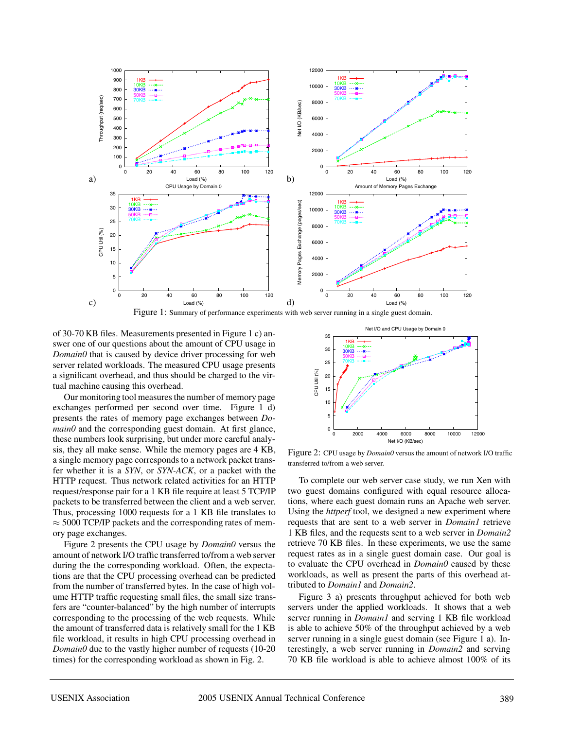

of 30-70 KB files. Measurements presented in Figure 1 c) answer one of our questions about the amount of CPU usage in *Domain0* that is caused by device driver processing for web server related workloads. The measured CPU usage presents a significant overhead, and thus should be charged to the virtual machine causing this overhead.

Our monitoring tool measures the number of memory page exchanges performed per second over time. Figure 1 d) presents the rates of memory page exchanges between *Domain0* and the corresponding guest domain. At first glance, these numbers look surprising, but under more careful analysis, they all make sense. While the memory pages are 4 KB, a single memory page corresponds to a network packet transfer whether it is a *SYN*, or *SYN-ACK*, or a packet with the HTTP request. Thus network related activities for an HTTP request/response pair for a 1 KB file require at least 5 TCP/IP packets to be transferred between the client and a web server. Thus, processing 1000 requests for a 1 KB file translates to  $\approx$  5000 TCP/IP packets and the corresponding rates of memory page exchanges.

Figure 2 presents the CPU usage by *Domain0* versus the amount of network I/O traffic transferred to/from a web server during the the corresponding workload. Often, the expectations are that the CPU processing overhead can be predicted from the number of transferred bytes. In the case of high volume HTTP traffic requesting small files, the small size transfers are "counter-balanced" by the high number of interrupts corresponding to the processing of the web requests. While the amount of transferred data is relatively small for the 1 KB file workload, it results in high CPU processing overhead in *Domain0* due to the vastly higher number of requests (10-20) times) for the corresponding workload as shown in Fig. 2.



Figure 2: CPU usage by *Domain0* versus the amount of network I/O traffic transferred to/from a web server.

To complete our web server case study, we run Xen with two guest domains configured with equal resource allocations, where each guest domain runs an Apache web server. Using the *httperf* tool, we designed a new experiment where requests that are sent to a web server in *Domain1* retrieve 1 KB files, and the requests sent to a web server in *Domain2* retrieve 70 KB files. In these experiments, we use the same request rates as in a single guest domain case. Our goal is to evaluate the CPU overhead in *Domain0* caused by these workloads, as well as present the parts of this overhead attributed to *Domain1* and *Domain2*.

Figure 3 a) presents throughput achieved for both web servers under the applied workloads. It shows that a web server running in *Domain1* and serving 1 KB file workload is able to achieve 50% of the throughput achieved by a web server running in a single guest domain (see Figure 1 a). Interestingly, a web server running in *Domain2* and serving 70 KB file workload is able to achieve almost 100% of its